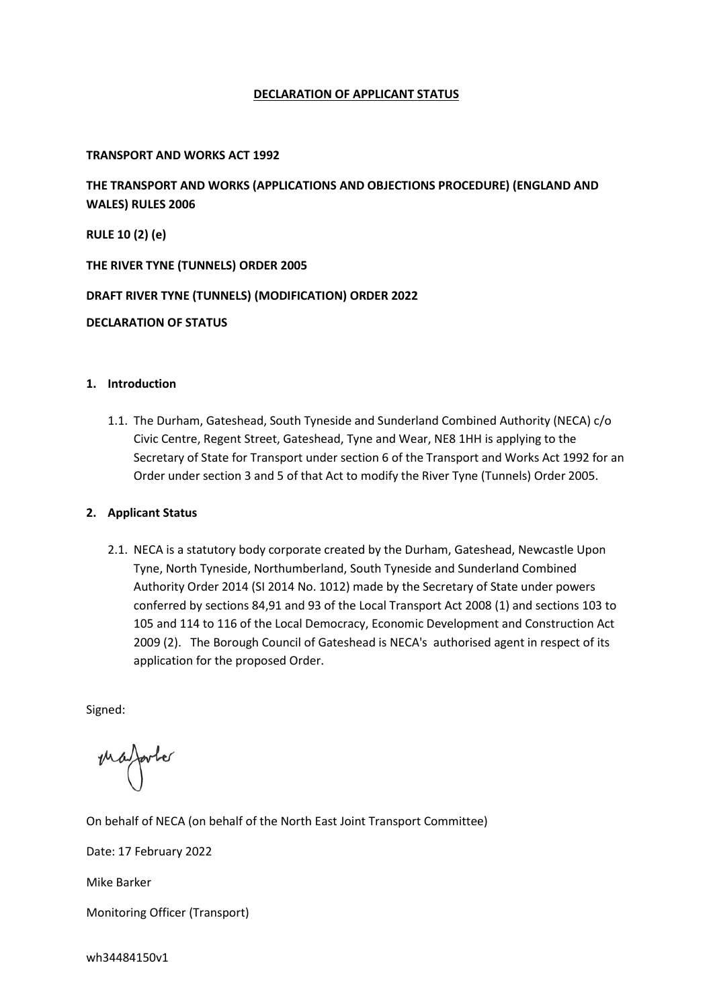# **DECLARATION OF APPLICANT STATUS**

# **TRANSPORT AND WORKS ACT 1992**

**THE TRANSPORT AND WORKS (APPLICATIONS AND OBJECTIONS PROCEDURE) (ENGLAND AND WALES) RULES 2006**

**RULE 10 (2) (e)**

**THE RIVER TYNE (TUNNELS) ORDER 2005**

**DRAFT RIVER TYNE (TUNNELS) (MODIFICATION) ORDER 2022**

# **DECLARATION OF STATUS**

# **1. Introduction**

1.1. The Durham, Gateshead, South Tyneside and Sunderland Combined Authority (NECA) c/o Civic Centre, Regent Street, Gateshead, Tyne and Wear, NE8 1HH is applying to the Secretary of State for Transport under section 6 of the Transport and Works Act 1992 for an Order under section 3 and 5 of that Act to modify the River Tyne (Tunnels) Order 2005.

# **2. Applicant Status**

2.1. NECA is a statutory body corporate created by the Durham, Gateshead, Newcastle Upon Tyne, North Tyneside, Northumberland, South Tyneside and Sunderland Combined Authority Order 2014 (SI 2014 No. 1012) made by the Secretary of State under powers conferred by sections 84,91 and 93 of the Local Transport Act 2008 (1) and sections 103 to 105 and 114 to 116 of the Local Democracy, Economic Development and Construction Act 2009 (2). The Borough Council of Gateshead is NECA's authorised agent in respect of its application for the proposed Order.

Signed:

mafarter

On behalf of NECA (on behalf of the North East Joint Transport Committee)

Date: 17 February 2022

Mike Barker

Monitoring Officer (Transport)